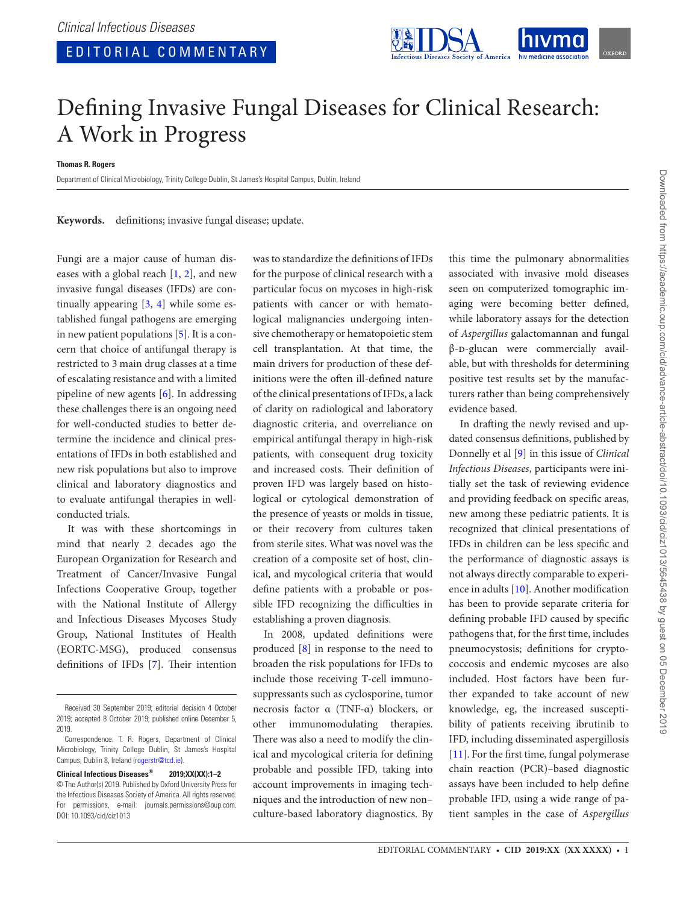

## Defining Invasive Fungal Diseases for Clinical Research: A Work in Progress

**Thomas R. Rogers**

Department of Clinical Microbiology, Trinity College Dublin, St James's Hospital Campus, Dublin, Ireland

**Keywords.** definitions; invasive fungal disease; update.

Fungi are a major cause of human diseases with a global reach [\[1,](#page-1-0) [2](#page-1-1)], and new invasive fungal diseases (IFDs) are continually appearing [[3](#page-1-2), [4](#page-1-3)] while some established fungal pathogens are emerging in new patient populations [[5](#page-1-4)]. It is a concern that choice of antifungal therapy is restricted to 3 main drug classes at a time of escalating resistance and with a limited pipeline of new agents [[6](#page-1-5)]. In addressing these challenges there is an ongoing need for well-conducted studies to better determine the incidence and clinical presentations of IFDs in both established and new risk populations but also to improve clinical and laboratory diagnostics and to evaluate antifungal therapies in wellconducted trials.

It was with these shortcomings in mind that nearly 2 decades ago the European Organization for Research and Treatment of Cancer/Invasive Fungal Infections Cooperative Group, together with the National Institute of Allergy and Infectious Diseases Mycoses Study Group, National Institutes of Health (EORTC-MSG), produced consensus definitions of IFDs [[7](#page-1-6)]. Their intention was to standardize the definitions of IFDs for the purpose of clinical research with a particular focus on mycoses in high-risk patients with cancer or with hematological malignancies undergoing intensive chemotherapy or hematopoietic stem cell transplantation. At that time, the main drivers for production of these definitions were the often ill-defined nature of the clinical presentations of IFDs, a lack of clarity on radiological and laboratory diagnostic criteria, and overreliance on empirical antifungal therapy in high-risk patients, with consequent drug toxicity and increased costs. Their definition of proven IFD was largely based on histological or cytological demonstration of the presence of yeasts or molds in tissue, or their recovery from cultures taken from sterile sites. What was novel was the creation of a composite set of host, clinical, and mycological criteria that would define patients with a probable or possible IFD recognizing the difficulties in establishing a proven diagnosis.

In 2008, updated definitions were produced [[8](#page-1-7)] in response to the need to broaden the risk populations for IFDs to include those receiving T-cell immunosuppressants such as cyclosporine, tumor necrosis factor α (TNF-α) blockers, or other immunomodulating therapies. There was also a need to modify the clinical and mycological criteria for defining probable and possible IFD, taking into account improvements in imaging techniques and the introduction of new non– culture-based laboratory diagnostics. By

this time the pulmonary abnormalities associated with invasive mold diseases seen on computerized tomographic imaging were becoming better defined, while laboratory assays for the detection of *Aspergillus* galactomannan and fungal β-d-glucan were commercially available, but with thresholds for determining positive test results set by the manufacturers rather than being comprehensively evidence based.

In drafting the newly revised and updated consensus definitions, published by Donnelly et al [\[9\]](#page-1-8) in this issue of *Clinical Infectious Diseases*, participants were initially set the task of reviewing evidence and providing feedback on specific areas, new among these pediatric patients. It is recognized that clinical presentations of IFDs in children can be less specific and the performance of diagnostic assays is not always directly comparable to experience in adults [[10\]](#page-1-9). Another modification has been to provide separate criteria for defining probable IFD caused by specific pathogens that, for the first time, includes pneumocystosis; definitions for cryptococcosis and endemic mycoses are also included. Host factors have been further expanded to take account of new knowledge, eg, the increased susceptibility of patients receiving ibrutinib to IFD, including disseminated aspergillosis [\[11](#page-1-10)]. For the first time, fungal polymerase chain reaction (PCR)–based diagnostic assays have been included to help define probable IFD, using a wide range of patient samples in the case of *Aspergillus*

Received 30 September 2019; editorial decision 4 October 2019; accepted 8 October 2019; published online December 5, 2019.

Correspondence: T. R. Rogers, Department of Clinical Microbiology, Trinity College Dublin, St James's Hospital Campus, Dublin 8, Ireland [\(rogerstr@tcd.ie\)](mailto:rogerstr@tcd.ie?subject=).

**Clinical Infectious Diseases® 2019;XX(XX):1–2** © The Author(s) 2019. Published by Oxford University Press for the Infectious Diseases Society of America. All rights reserved. For permissions, e-mail: journals.permissions@oup.com. DOI: 10.1093/cid/ciz1013